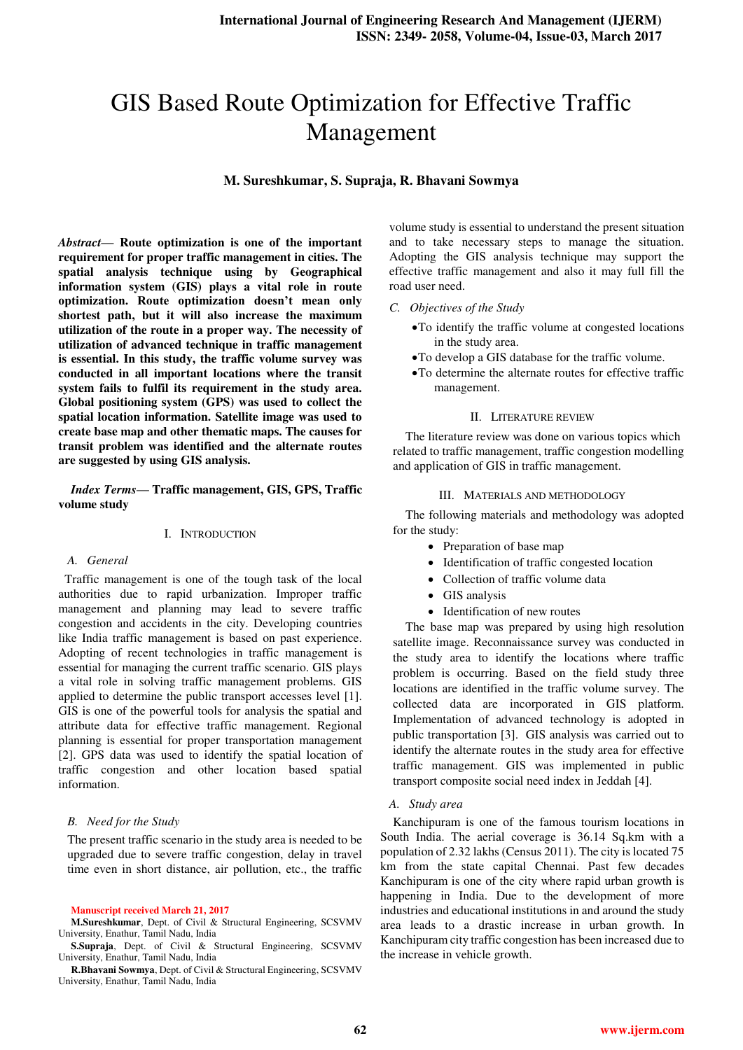# GIS Based Route Optimization for Effective Traffic Management

**M. Sureshkumar, S. Supraja, R. Bhavani Sowmya** 

*Abstract***— Route optimization is one of the important requirement for proper traffic management in cities. The spatial analysis technique using by Geographical information system (GIS) plays a vital role in route optimization. Route optimization doesn't mean only shortest path, but it will also increase the maximum utilization of the route in a proper way. The necessity of utilization of advanced technique in traffic management is essential. In this study, the traffic volume survey was conducted in all important locations where the transit system fails to fulfil its requirement in the study area. Global positioning system (GPS) was used to collect the spatial location information. Satellite image was used to create base map and other thematic maps. The causes for transit problem was identified and the alternate routes are suggested by using GIS analysis.** 

# *Index Terms***— Traffic management, GIS, GPS, Traffic volume study**

# I. INTRODUCTION

## *A. General*

 Traffic management is one of the tough task of the local authorities due to rapid urbanization. Improper traffic management and planning may lead to severe traffic congestion and accidents in the city. Developing countries like India traffic management is based on past experience. Adopting of recent technologies in traffic management is essential for managing the current traffic scenario. GIS plays a vital role in solving traffic management problems. GIS applied to determine the public transport accesses level [1]. GIS is one of the powerful tools for analysis the spatial and attribute data for effective traffic management. Regional planning is essential for proper transportation management [2]. GPS data was used to identify the spatial location of traffic congestion and other location based spatial information.

# *B. Need for the Study*

The present traffic scenario in the study area is needed to be upgraded due to severe traffic congestion, delay in travel time even in short distance, air pollution, etc., the traffic

#### **Manuscript received March 21, 2017**

**M.Sureshkumar**, Dept. of Civil & Structural Engineering, SCSVMV University, Enathur, Tamil Nadu, India

**S.Supraja**, Dept. of Civil & Structural Engineering, SCSVMV University, Enathur, Tamil Nadu, India

**R.Bhavani Sowmya**, Dept. of Civil & Structural Engineering, SCSVMV University, Enathur, Tamil Nadu, India

volume study is essential to understand the present situation and to take necessary steps to manage the situation. Adopting the GIS analysis technique may support the effective traffic management and also it may full fill the road user need.

- *C. Objectives of the Study* 
	- To identify the traffic volume at congested locations in the study area.
	- To develop a GIS database for the traffic volume.
	- To determine the alternate routes for effective traffic management.

## II. LITERATURE REVIEW

The literature review was done on various topics which related to traffic management, traffic congestion modelling and application of GIS in traffic management.

## III. MATERIALS AND METHODOLOGY

The following materials and methodology was adopted for the study:

- Preparation of base map
- Identification of traffic congested location
- Collection of traffic volume data
- GIS analysis
- Identification of new routes

The base map was prepared by using high resolution satellite image. Reconnaissance survey was conducted in the study area to identify the locations where traffic problem is occurring. Based on the field study three locations are identified in the traffic volume survey. The collected data are incorporated in GIS platform. Implementation of advanced technology is adopted in public transportation [3]. GIS analysis was carried out to identify the alternate routes in the study area for effective traffic management. GIS was implemented in public transport composite social need index in Jeddah [4].

# *A. Study area*

Kanchipuram is one of the famous tourism locations in South India. The aerial coverage is 36.14 Sq.km with a population of 2.32 lakhs (Census 2011). The city is located 75 km from the state capital Chennai. Past few decades Kanchipuram is one of the city where rapid urban growth is happening in India. Due to the development of more industries and educational institutions in and around the study area leads to a drastic increase in urban growth. In Kanchipuram city traffic congestion has been increased due to the increase in vehicle growth.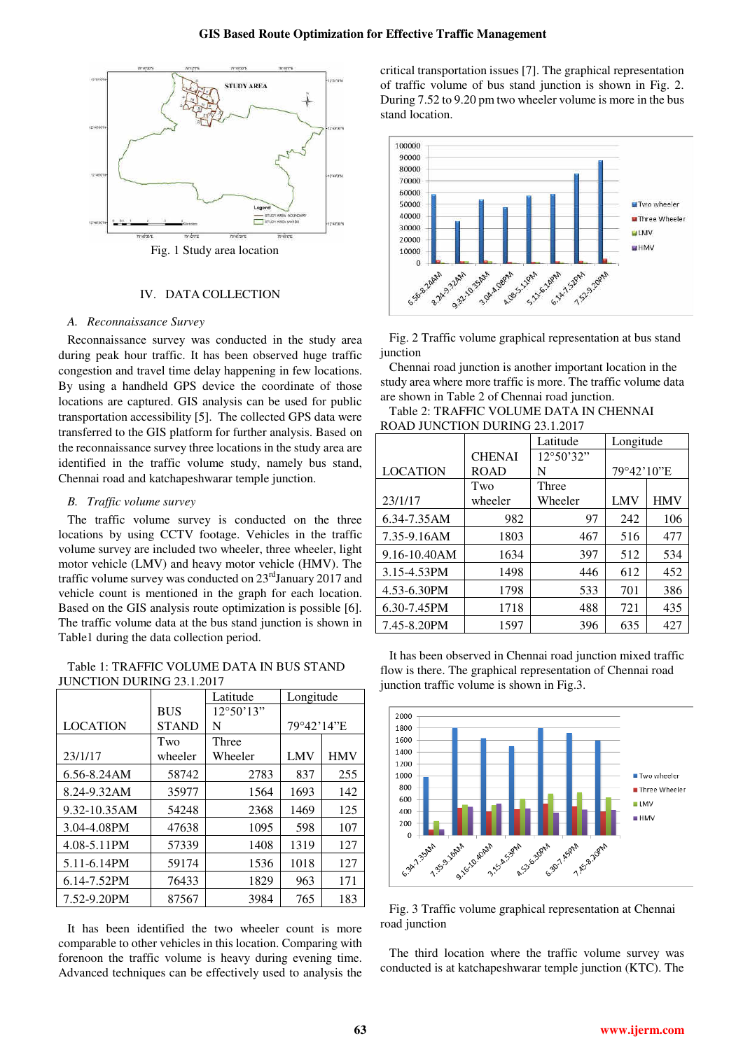

Fig. 1 Study area location

## IV. DATA COLLECTION

#### *A. Reconnaissance Survey*

Reconnaissance survey was conducted in the study area during peak hour traffic. It has been observed huge traffic congestion and travel time delay happening in few locations. By using a handheld GPS device the coordinate of those locations are captured. GIS analysis can be used for public transportation accessibility [5]. The collected GPS data were transferred to the GIS platform for further analysis. Based on the reconnaissance survey three locations in the study area are identified in the traffic volume study, namely bus stand, Chennai road and katchapeshwarar temple junction.

## *B. Traffic volume survey*

The traffic volume survey is conducted on the three locations by using CCTV footage. Vehicles in the traffic volume survey are included two wheeler, three wheeler, light motor vehicle (LMV) and heavy motor vehicle (HMV). The traffic volume survey was conducted on 23<sup>rd</sup>January 2017 and vehicle count is mentioned in the graph for each location. Based on the GIS analysis route optimization is possible [6]. The traffic volume data at the bus stand junction is shown in Table1 during the data collection period.

Table 1: TRAFFIC VOLUME DATA IN BUS STAND JUNCTION DURING 23.1.2017

|                 |              | Latitude           | Longitude  |            |
|-----------------|--------------|--------------------|------------|------------|
|                 | <b>BUS</b>   | $12^{\circ}50'13"$ |            |            |
| <b>LOCATION</b> | <b>STAND</b> | N                  | 79°42'14"E |            |
|                 | Two          | Three              |            |            |
| 23/1/17         | wheeler      | Wheeler            | LMV        | <b>HMV</b> |
| 6.56-8.24AM     | 58742        | 2783               | 837        | 255        |
| 8.24-9.32AM     | 35977        | 1564               | 1693       | 142        |
| 9.32-10.35AM    | 54248        | 2368               | 1469       | 125        |
| 3.04-4.08PM     | 47638        | 1095               | 598        | 107        |
| 4.08-5.11PM     | 57339        | 1408               | 1319       | 127        |
| 5.11-6.14PM     | 59174        | 1536               | 1018       | 127        |
| 6.14-7.52PM     | 76433        | 1829               | 963        | 171        |
| 7.52-9.20PM     | 87567        | 3984               | 765        | 183        |

It has been identified the two wheeler count is more comparable to other vehicles in this location. Comparing with forenoon the traffic volume is heavy during evening time. Advanced techniques can be effectively used to analysis the critical transportation issues [7]. The graphical representation of traffic volume of bus stand junction is shown in Fig. 2. During 7.52 to 9.20 pm two wheeler volume is more in the bus stand location.



Fig. 2 Traffic volume graphical representation at bus stand junction

Chennai road junction is another important location in the study area where more traffic is more. The traffic volume data are shown in Table 2 of Chennai road junction.

Table 2: TRAFFIC VOLUME DATA IN CHENNAI ROAD JUNCTION DURING 23.1.2017

| <u>KOND JUNCTION DUKING 29.1.2017</u> |               | Latitude  |            |            |
|---------------------------------------|---------------|-----------|------------|------------|
|                                       |               |           | Longitude  |            |
|                                       | <b>CHENAI</b> | 12°50'32" |            |            |
| <b>LOCATION</b>                       | <b>ROAD</b>   | N         | 79°42'10"E |            |
|                                       | Two           | Three     |            |            |
| 23/1/17                               | wheeler       | Wheeler   | LMV        | <b>HMV</b> |
| 6.34-7.35AM                           | 982           | 97        | 242        | 106        |
| 7.35-9.16AM                           | 1803          | 467       | 516        | 477        |
| 9.16-10.40AM                          | 1634          | 397       | 512        | 534        |
| 3.15-4.53PM                           | 1498          | 446       | 612        | 452        |
| 4.53-6.30PM                           | 1798          | 533       | 701        | 386        |
| 6.30-7.45PM                           | 1718          | 488       | 721        | 435        |
| 7.45-8.20PM                           | 1597          | 396       | 635        | 427        |

It has been observed in Chennai road junction mixed traffic flow is there. The graphical representation of Chennai road junction traffic volume is shown in Fig.3.



Fig. 3 Traffic volume graphical representation at Chennai road junction

The third location where the traffic volume survey was conducted is at katchapeshwarar temple junction (KTC). The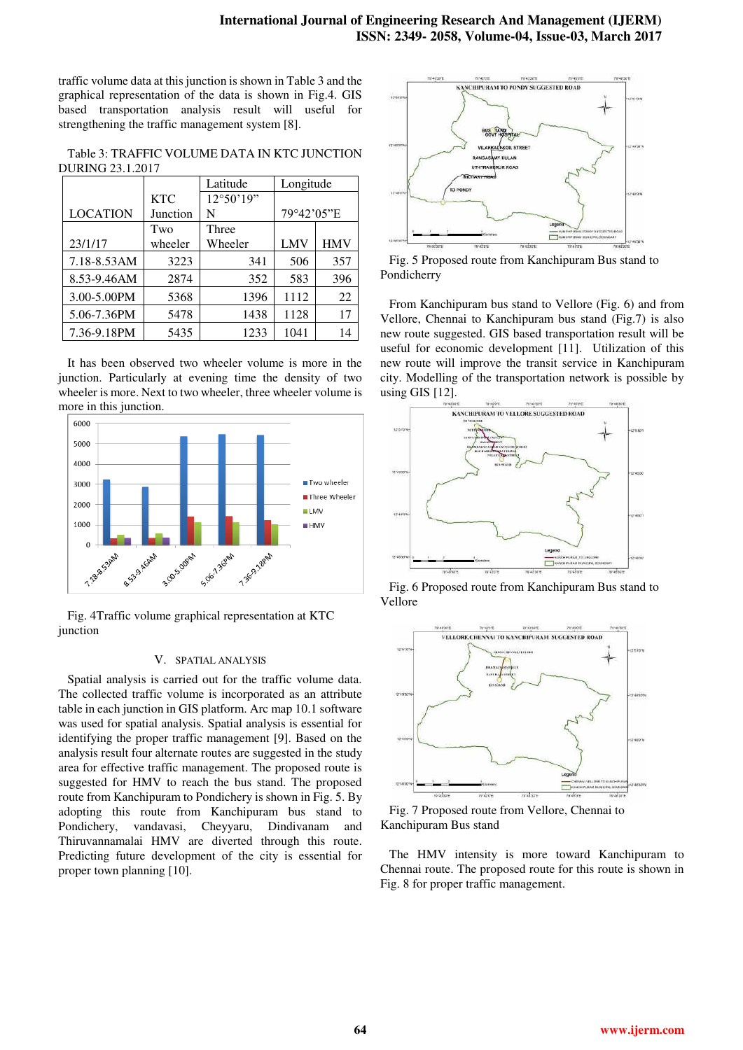traffic volume data at this junction is shown in Table 3 and the graphical representation of the data is shown in Fig.4. GIS based transportation analysis result will useful for strengthening the traffic management system [8].

Table 3: TRAFFIC VOLUME DATA IN KTC JUNCTION DURING 23.1.2017

|                 |            | Latitude  | Longitude  |            |
|-----------------|------------|-----------|------------|------------|
|                 | <b>KTC</b> | 12°50'19" |            |            |
| <b>LOCATION</b> | Junction   | N         | 79°42'05"E |            |
|                 | Two        | Three     |            |            |
| 23/1/17         | wheeler    | Wheeler   | LMV        | <b>HMV</b> |
| 7.18-8.53AM     | 3223       | 341       | 506        | 357        |
| 8.53-9.46AM     | 2874       | 352       | 583        | 396        |
| 3.00-5.00PM     | 5368       | 1396      | 1112       | 22         |
| 5.06-7.36PM     | 5478       | 1438      | 1128       | 17         |
| 7.36-9.18PM     | 5435       | 1233      | 1041       | 14         |

It has been observed two wheeler volume is more in the junction. Particularly at evening time the density of two wheeler is more. Next to two wheeler, three wheeler volume is more in this junction.



Fig. 4Traffic volume graphical representation at KTC junction

#### V. SPATIAL ANALYSIS

Spatial analysis is carried out for the traffic volume data. The collected traffic volume is incorporated as an attribute table in each junction in GIS platform. Arc map 10.1 software was used for spatial analysis. Spatial analysis is essential for identifying the proper traffic management [9]. Based on the analysis result four alternate routes are suggested in the study area for effective traffic management. The proposed route is suggested for HMV to reach the bus stand. The proposed route from Kanchipuram to Pondichery is shown in Fig. 5. By adopting this route from Kanchipuram bus stand to Pondichery, vandavasi, Cheyyaru, Dindivanam and Thiruvannamalai HMV are diverted through this route. Predicting future development of the city is essential for proper town planning [10].



Fig. 5 Proposed route from Kanchipuram Bus stand to Pondicherry

From Kanchipuram bus stand to Vellore (Fig. 6) and from Vellore, Chennai to Kanchipuram bus stand (Fig.7) is also new route suggested. GIS based transportation result will be useful for economic development [11]. Utilization of this new route will improve the transit service in Kanchipuram city. Modelling of the transportation network is possible by using GIS [12].



Fig. 6 Proposed route from Kanchipuram Bus stand to Vellore



Fig. 7 Proposed route from Vellore, Chennai to Kanchipuram Bus stand

The HMV intensity is more toward Kanchipuram to Chennai route. The proposed route for this route is shown in Fig. 8 for proper traffic management.